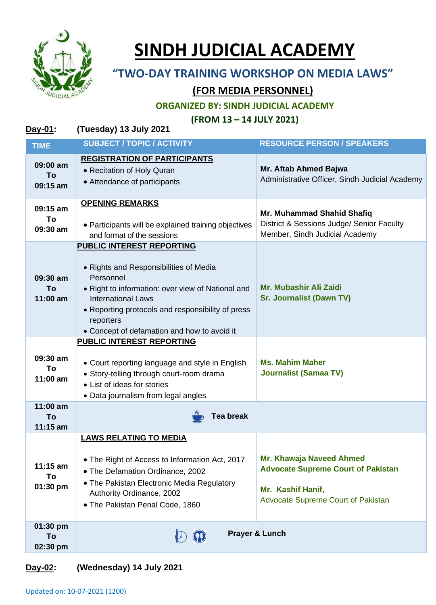

## **SINDH JUDICIAL ACADEMY**

## **"TWO-DAY TRAINING WORKSHOP ON MEDIA LAWS"**

## **(FOR MEDIA PERSONNEL)**

**ORGANIZED BY: SINDH JUDICIAL ACADEMY**

**(FROM 13 – 14 JULY 2021)**

| Day-01:                      | (Tuesday) 13 July 2021                                                                                                                                                                                                                                                                     |                                                                                                                                  |  |
|------------------------------|--------------------------------------------------------------------------------------------------------------------------------------------------------------------------------------------------------------------------------------------------------------------------------------------|----------------------------------------------------------------------------------------------------------------------------------|--|
| <b>TIME</b>                  | <b>SUBJECT / TOPIC / ACTIVITY</b>                                                                                                                                                                                                                                                          | <b>RESOURCE PERSON / SPEAKERS</b>                                                                                                |  |
| 09:00 am<br>To<br>09:15 am   | <b>REGISTRATION OF PARTICIPANTS</b><br>• Recitation of Holy Quran<br>• Attendance of participants                                                                                                                                                                                          | Mr. Aftab Ahmed Bajwa<br>Administrative Officer, Sindh Judicial Academy                                                          |  |
| 09:15 am<br>To<br>09:30 am   | <b>OPENING REMARKS</b><br>• Participants will be explained training objectives<br>and format of the sessions                                                                                                                                                                               | Mr. Muhammad Shahid Shafiq<br>District & Sessions Judge/ Senior Faculty<br>Member, Sindh Judicial Academy                        |  |
| 09:30 am<br>To<br>11:00 am   | <b>PUBLIC INTEREST REPORTING</b><br>• Rights and Responsibilities of Media<br>Personnel<br>• Right to information: over view of National and<br><b>International Laws</b><br>• Reporting protocols and responsibility of press<br>reporters<br>• Concept of defamation and how to avoid it | Mr. Mubashir Ali Zaidi<br><b>Sr. Journalist (Dawn TV)</b>                                                                        |  |
| 09:30 am<br>To<br>11:00 am   | <b>PUBLIC INTEREST REPORTING</b><br>• Court reporting language and style in English<br>• Story-telling through court-room drama<br>• List of ideas for stories<br>• Data journalism from legal angles                                                                                      | <b>Ms. Mahim Maher</b><br><b>Journalist (Samaa TV)</b>                                                                           |  |
| 11:00 am<br>To<br>$11:15$ am | <b>Tea break</b>                                                                                                                                                                                                                                                                           |                                                                                                                                  |  |
| $11:15$ am<br>To<br>01:30 pm | <b>LAWS RELATING TO MEDIA</b><br>• The Right of Access to Information Act, 2017<br>• The Defamation Ordinance, 2002<br>• The Pakistan Electronic Media Regulatory<br>Authority Ordinance, 2002<br>• The Pakistan Penal Code, 1860                                                          | Mr. Khawaja Naveed Ahmed<br><b>Advocate Supreme Court of Pakistan</b><br>Mr. Kashif Hanif,<br>Advocate Supreme Court of Pakistan |  |
| 01:30 pm<br>To<br>02:30 pm   |                                                                                                                                                                                                                                                                                            | Prayer & Lunch                                                                                                                   |  |

## **Day-02: (Wednesday) 14 July 2021**